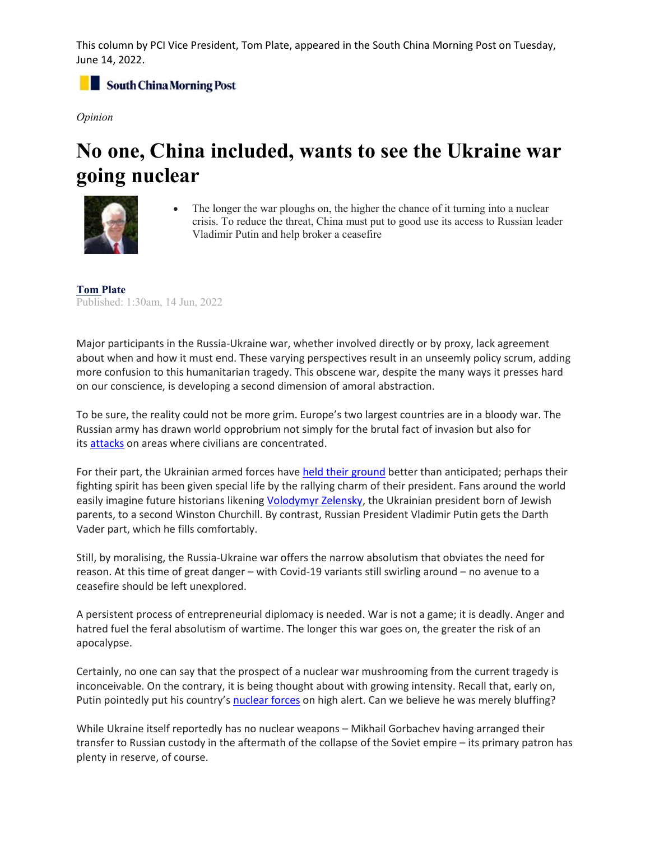This column by PCI Vice President, Tom Plate, appeared in the South China Morning Post on Tuesday, June 14, 2022.

South China Morning Post

*Opinion*

## **No one, China included, wants to see the Ukraine war going nuclear**



The longer the war ploughs on, the higher the chance of it turning into a nuclear crisis. To reduce the threat, China must put to good use its access to Russian leader Vladimir Putin and help broker a ceasefire

**Tom [Plate](https://www.scmp.com/author/tom-plate)** P[ublished: 1:3](https://www.scmp.com/author/tom-plate)0am, 14 Jun, 2022

Major participants in the Russia-Ukraine war, whether involved directly or by proxy, lack agreement about when and how it must end. These varying perspectives result in an unseemly policy scrum, adding more confusion to this humanitarian tragedy. This obscene war, despite the many ways it presses hard on our conscience, is developing a second dimension of amoral abstraction.

To be sure, the reality could not be more grim. Europe's two largest countries are in a bloody war. The Russian army has drawn world opprobrium not simply for the brutal fact of invasion but also for its [attacks](https://www.scmp.com/news/world/russia-central-asia/article/3170740/russia-strikes-ukraine-theatre-sheltering-hundreds?module=inline&pgtype=article) on areas where civilians are concentrated.

For their part, the Ukrainian armed forces have [held their ground](https://www.scmp.com/news/world/russia-central-asia/article/3181392/ukraine-says-it-still-controls-sievierodonetsk-plant?module=inline&pgtype=article) better than anticipated; perhaps their fighting spirit has been given special life by the rallying charm of their president. Fans around the world easily imagine future historians likening [Volodymyr Zelensky,](https://www.scmp.com/news/world/russia-central-asia/article/3170739/netflix-bringing-back-tv-comedy-made-ukraines?module=inline&pgtype=article) the Ukrainian president born of Jewish parents, to a second Winston Churchill. By contrast, Russian President Vladimir Putin gets the Darth Vader part, which he fills comfortably.

Still, by moralising, the Russia-Ukraine war offers the narrow absolutism that obviates the need for reason. At this time of great danger – with Covid-19 variants still swirling around – no avenue to a ceasefire should be left unexplored.

A persistent process of entrepreneurial diplomacy is needed. War is not a game; it is deadly. Anger and hatred fuel the feral absolutism of wartime. The longer this war goes on, the greater the risk of an apocalypse.

Certainly, no one can say that the prospect of a nuclear war mushrooming from the current tragedy is inconceivable. On the contrary, it is being thought about with growing intensity. Recall that, early on, Putin pointedly put his country's [nuclear forces](https://www.scmp.com/news/china/diplomacy/article/3168618/ukraine-invasion-day-5-un-plans-two-emergency-meetings-us-and?module=inline&pgtype=article) on high alert. Can we believe he was merely bluffing?

While Ukraine itself reportedly has no nuclear weapons – Mikhail Gorbachev having arranged their transfer to Russian custody in the aftermath of the collapse of the Soviet empire – its primary patron has plenty in reserve, of course.